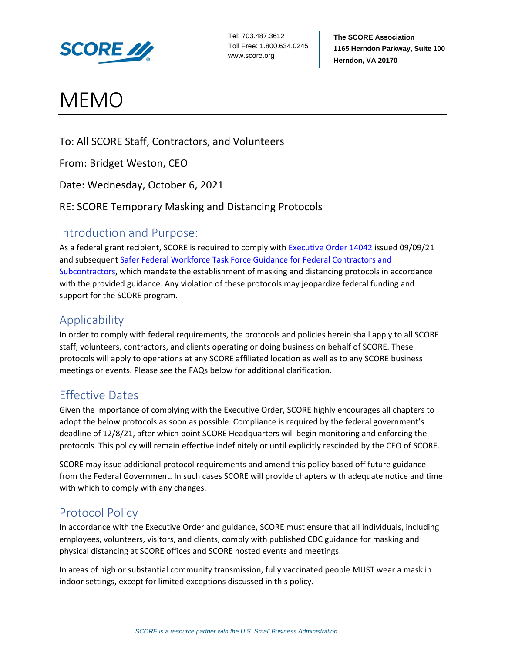

# MEMO

To: All SCORE Staff, Contractors, and Volunteers

From: Bridget Weston, CEO

Date: Wednesday, October 6, 2021

## RE: SCORE Temporary Masking and Distancing Protocols

## Introduction and Purpose:

As a federal grant recipient, SCORE is required to comply with [Executive Order 14042](https://www.whitehouse.gov/covidplan/) issued 09/09/21 and subsequent [Safer Federal Workforce Task Force Guidance for Federal Contractors and](https://www.saferfederalworkforce.gov/downloads/Draft%20contractor%20guidance%20doc_20210922.pdf)  [Subcontractors,](https://www.saferfederalworkforce.gov/downloads/Draft%20contractor%20guidance%20doc_20210922.pdf) which mandate the establishment of masking and distancing protocols in accordance with the provided guidance. Any violation of these protocols may jeopardize federal funding and support for the SCORE program.

# Applicability

In order to comply with federal requirements, the protocols and policies herein shall apply to all SCORE staff, volunteers, contractors, and clients operating or doing business on behalf of SCORE. These protocols will apply to operations at any SCORE affiliated location as well as to any SCORE business meetings or events. Please see the FAQs below for additional clarification.

# Effective Dates

Given the importance of complying with the Executive Order, SCORE highly encourages all chapters to adopt the below protocols as soon as possible. Compliance is required by the federal government's deadline of 12/8/21, after which point SCORE Headquarters will begin monitoring and enforcing the protocols. This policy will remain effective indefinitely or until explicitly rescinded by the CEO of SCORE.

SCORE may issue additional protocol requirements and amend this policy based off future guidance from the Federal Government. In such cases SCORE will provide chapters with adequate notice and time with which to comply with any changes.

# Protocol Policy

In accordance with the Executive Order and guidance, SCORE must ensure that all individuals, including employees, volunteers, visitors, and clients, comply with published CDC guidance for masking and physical distancing at SCORE offices and SCORE hosted events and meetings.

In areas of high or substantial community transmission, fully vaccinated people MUST wear a mask in indoor settings, except for limited exceptions discussed in this policy.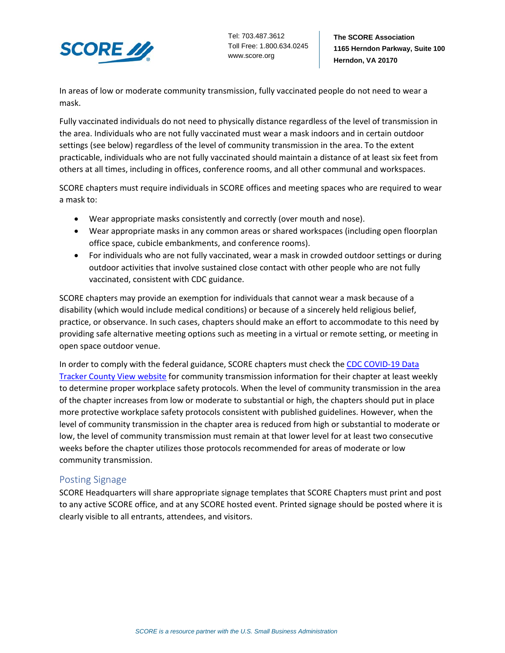

Tel: 703.487.3612 Toll Free: 1.800.634.0245 www.score.org

In areas of low or moderate community transmission, fully vaccinated people do not need to wear a mask.

Fully vaccinated individuals do not need to physically distance regardless of the level of transmission in the area. Individuals who are not fully vaccinated must wear a mask indoors and in certain outdoor settings (see below) regardless of the level of community transmission in the area. To the extent practicable, individuals who are not fully vaccinated should maintain a distance of at least six feet from others at all times, including in offices, conference rooms, and all other communal and workspaces.

SCORE chapters must require individuals in SCORE offices and meeting spaces who are required to wear a mask to:

- Wear appropriate masks consistently and correctly (over mouth and nose).
- Wear appropriate masks in any common areas or shared workspaces (including open floorplan office space, cubicle embankments, and conference rooms).
- For individuals who are not fully vaccinated, wear a mask in crowded outdoor settings or during outdoor activities that involve sustained close contact with other people who are not fully vaccinated, consistent with CDC guidance.

SCORE chapters may provide an exemption for individuals that cannot wear a mask because of a disability (which would include medical conditions) or because of a sincerely held religious belief, practice, or observance. In such cases, chapters should make an effort to accommodate to this need by providing safe alternative meeting options such as meeting in a virtual or remote setting, or meeting in open space outdoor venue.

In order to comply with the federal guidance, SCORE chapters must check the CDC COVID-19 Data [Tracker County View website](https://covid.cdc.gov/covid-data-tracker/#county-view) for community transmission information for their chapter at least weekly to determine proper workplace safety protocols. When the level of community transmission in the area of the chapter increases from low or moderate to substantial or high, the chapters should put in place more protective workplace safety protocols consistent with published guidelines. However, when the level of community transmission in the chapter area is reduced from high or substantial to moderate or low, the level of community transmission must remain at that lower level for at least two consecutive weeks before the chapter utilizes those protocols recommended for areas of moderate or low community transmission.

## Posting Signage

SCORE Headquarters will share appropriate signage templates that SCORE Chapters must print and post to any active SCORE office, and at any SCORE hosted event. Printed signage should be posted where it is clearly visible to all entrants, attendees, and visitors.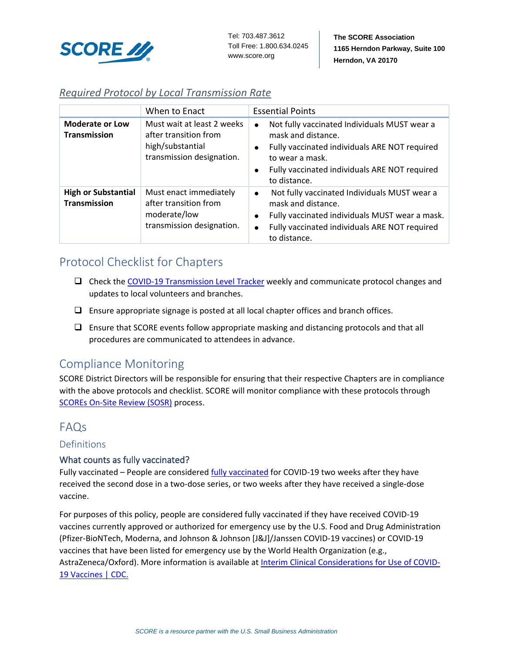

## *Required Protocol by Local Transmission Rate*

|                                                   | When to Enact                                                                                        | <b>Essential Points</b>                                                                                                                                                                                                                        |
|---------------------------------------------------|------------------------------------------------------------------------------------------------------|------------------------------------------------------------------------------------------------------------------------------------------------------------------------------------------------------------------------------------------------|
| <b>Moderate or Low</b><br><b>Transmission</b>     | Must wait at least 2 weeks<br>after transition from<br>high/substantial<br>transmission designation. | Not fully vaccinated Individuals MUST wear a<br>$\bullet$<br>mask and distance.<br>Fully vaccinated individuals ARE NOT required<br>$\bullet$<br>to wear a mask.<br>Fully vaccinated individuals ARE NOT required<br>$\bullet$<br>to distance. |
| <b>High or Substantial</b><br><b>Transmission</b> | Must enact immediately<br>after transition from<br>moderate/low<br>transmission designation.         | Not fully vaccinated Individuals MUST wear a<br>$\bullet$<br>mask and distance.<br>Fully vaccinated individuals MUST wear a mask.<br>Fully vaccinated individuals ARE NOT required<br>$\bullet$<br>to distance.                                |

# Protocol Checklist for Chapters

- Check th[e COVID-19 Transmission Level Tracker](https://covid.cdc.gov/covid-data-tracker/#county-view) weekly and communicate protocol changes and updates to local volunteers and branches.
- $\Box$  Ensure appropriate signage is posted at all local chapter offices and branch offices.
- $\Box$  Ensure that SCORE events follow appropriate masking and distancing protocols and that all procedures are communicated to attendees in advance.

## Compliance Monitoring

SCORE District Directors will be responsible for ensuring that their respective Chapters are in compliance with the above protocols and checklist. SCORE will monitor compliance with these protocols through [SCOREs On-Site Review \(SOSR\)](https://help.score.org/hc/en-us/articles/360035924734-Form-16-SCORE-On-Site-Review-SOSR-) process.

## FAQs

## Definitions

## What counts as fully vaccinated?

Fully vaccinated – People are considered [fully vaccinated](https://www.cdc.gov/coronavirus/2019-ncov/vaccines/fully-vaccinated.html) for COVID-19 two weeks after they have received the second dose in a two-dose series, or two weeks after they have received a single-dose vaccine.

For purposes of this policy, people are considered fully vaccinated if they have received COVID-19 vaccines currently approved or authorized for emergency use by the U.S. Food and Drug Administration (Pfizer-BioNTech, Moderna, and Johnson & Johnson [J&J]/Janssen COVID-19 vaccines) or COVID-19 vaccines that have been listed for emergency use by the World Health Organization (e.g., AstraZeneca/Oxford). More information is available at [Interim Clinical Considerations for Use of COVID-](https://www.cdc.gov/vaccines/covid-19/clinical-considerations/covid-19-vaccines-us.html)[19 Vaccines | CDC.](https://www.cdc.gov/vaccines/covid-19/clinical-considerations/covid-19-vaccines-us.html)